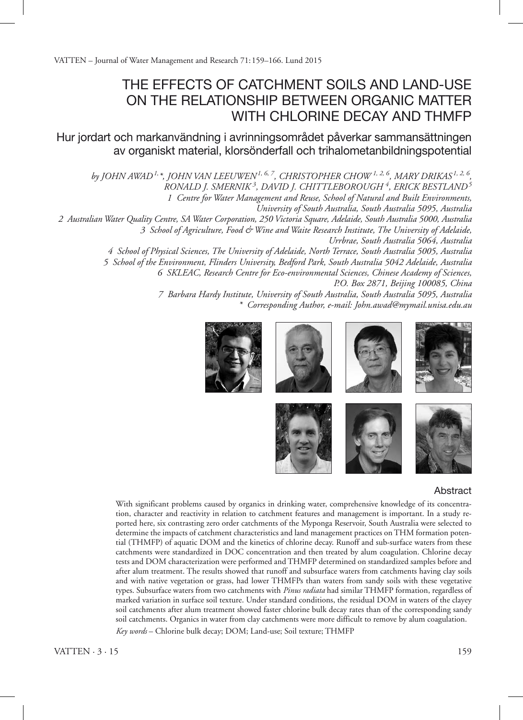VATTEN – Journal of Water Management and Research 71:159–166. Lund 2015

# The Effects of Catchment Soils and Land-use on the Relationship between Organic Matter with Chlorine Decay and THMFP

Hur jordart och markanvändning i avrinningsområdet påverkar sammansättningen av organiskt material, klorsönderfall och trihalometanbildningspotential

*by John Awad1,\*, John van Leeuwen1, 6, 7, Christopher Chow 1, 2, 6, Mary Drikas 1, 2, 6, Ronald J. Smernik 3 , David J. Chittleborough 4 , Erick Bestland<sup>5</sup>*

*1 Centre for Water Management and Reuse, School of Natural and Built Environments,* 

*University of South Australia, South Australia 5095, Australia*

*2 Australian Water Quality Centre, SA Water Corporation, 250 Victoria Square, Adelaide, South Australia 5000, Australia 3 School of Agriculture, Food & Wine and Waite Research Institute, The University of Adelaide, Urrbrae, South Australia 5064, Australia*

> *4 School of Physical Sciences, The University of Adelaide, North Terrace, South Australia 5005, Australia 5 School of the Environment, Flinders University, Bedford Park, South Australia 5042 Adelaide, Australia 6 SKLEAC, Research Centre for Eco-environmental Sciences, Chinese Academy of Sciences, P.O. Box 2871, Beijing 100085, China*

> > *7 Barbara Hardy Institute, University of South Australia, South Australia 5095, Australia \* Corresponding Author, e-mail: John.awad@mymail.unisa.edu.au*

















# Abstract

With significant problems caused by organics in drinking water, comprehensive knowledge of its concentration, character and reactivity in relation to catchment features and management is important. In a study reported here, six contrasting zero order catchments of the Myponga Reservoir, South Australia were selected to determine the impacts of catchment characteristics and land management practices on THM formation potential (THMFP) of aquatic DOM and the kinetics of chlorine decay. Runoff and sub-surface waters from these catchments were standardized in DOC concentration and then treated by alum coagulation. Chlorine decay tests and DOM characterization were performed and THMFP determined on standardized samples before and after alum treatment. The results showed that runoff and subsurface waters from catchments having clay soils and with native vegetation or grass, had lower THMFPs than waters from sandy soils with these vegetative types. Subsurface waters from two catchments with *Pinus radiata* had similar THMFP formation, regardless of marked variation in surface soil texture. Under standard conditions, the residual DOM in waters of the clayey soil catchments after alum treatment showed faster chlorine bulk decay rates than of the corresponding sandy soil catchments. Organics in water from clay catchments were more difficult to remove by alum coagulation.

*Key words* – Chlorine bulk decay; DOM; Land-use; Soil texture; THMFP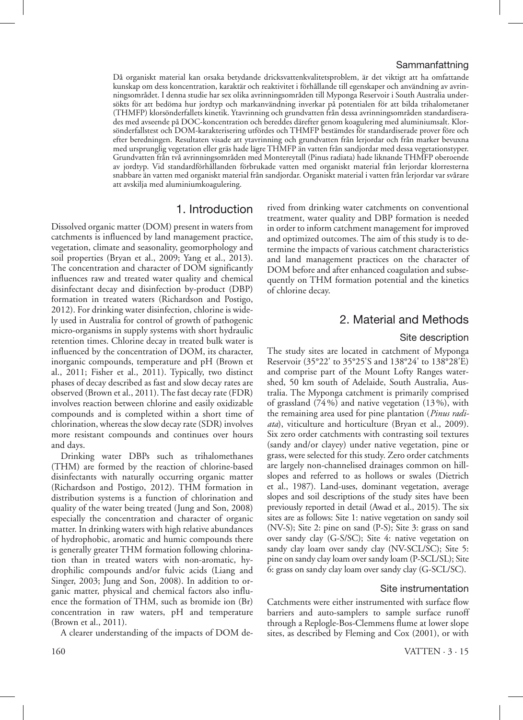# Sammanfattning

Då organiskt material kan orsaka betydande dricksvattenkvalitetsproblem, är det viktigt att ha omfattande kunskap om dess koncentration, karaktär och reaktivitet i förhållande till egenskaper och användning av avrinningsområdet. I denna studie har sex olika avrinningsområden till Myponga Reservoir i South Australia undersökts för att bedöma hur jordtyp och markanvändning inverkar på potentialen för att bilda trihalometaner (THMFP) klorsönderfallets kinetik. Ytavrinning och grundvatten från dessa avrinningsområden standardiserades med avseende på DOC-koncentration och bereddes därefter genom koagulering med aluminiumsalt. Klorsönderfallstest och DOM-karakterisering utfördes och THMFP bestämdes för standardiserade prover före och efter beredningen. Resultaten visade att ytavrinning och grundvatten från lerjordar och från marker bevuxna med ursprunglig vegetation eller gräs hade lägre THMFP än vatten från sandjordar med dessa vegetationstyper. Grundvatten från två avrinningsområden med Montereytall (Pinus radiata) hade liknande THMFP oberoende av jordtyp. Vid standardförhållanden förbrukade vatten med organiskt material från lerjordar klorresterna snabbare än vatten med organiskt material från sandjordar. Organiskt material i vatten från lerjordar var svårare att avskilja med aluminiumkoagulering.

# 1. Introduction

Dissolved organic matter (DOM) present in waters from catchments is influenced by land management practice, vegetation, climate and seasonality, geomorphology and soil properties (Bryan et al., 2009; Yang et al., 2013). The concentration and character of DOM significantly influences raw and treated water quality and chemical disinfectant decay and disinfection by-product (DBP) formation in treated waters (Richardson and Postigo, 2012). For drinking water disinfection, chlorine is widely used in Australia for control of growth of pathogenic micro-organisms in supply systems with short hydraulic retention times. Chlorine decay in treated bulk water is influenced by the concentration of DOM, its character, inorganic compounds, temperature and pH (Brown et al., 2011; Fisher et al., 2011). Typically, two distinct phases of decay described as fast and slow decay rates are observed (Brown et al., 2011). The fast decay rate (FDR) involves reaction between chlorine and easily oxidizable compounds and is completed within a short time of chlorination, whereas the slow decay rate (SDR) involves more resistant compounds and continues over hours and days.

Drinking water DBPs such as trihalomethanes (THM) are formed by the reaction of chlorine-based disinfectants with naturally occurring organic matter (Richardson and Postigo, 2012). THM formation in distribution systems is a function of chlorination and quality of the water being treated (Jung and Son, 2008) especially the concentration and character of organic matter. In drinking waters with high relative abundances of hydrophobic, aromatic and humic compounds there is generally greater THM formation following chlorination than in treated waters with non-aromatic, hydrophilic compounds and/or fulvic acids (Liang and Singer, 2003; Jung and Son, 2008). In addition to organic matter, physical and chemical factors also influence the formation of THM, such as bromide ion (Br) concentration in raw waters, pH and temperature (Brown et al., 2011).

A clearer understanding of the impacts of DOM de-

rived from drinking water catchments on conventional treatment, water quality and DBP formation is needed in order to inform catchment management for improved and optimized outcomes. The aim of this study is to determine the impacts of various catchment characteristics and land management practices on the character of DOM before and after enhanced coagulation and subsequently on THM formation potential and the kinetics of chlorine decay.

# 2. Material and Methods

#### Site description

The study sites are located in catchment of Myponga Reservoir (35°22' to 35°25'S and 138°24' to 138°28'E) and comprise part of the Mount Lofty Ranges watershed, 50 km south of Adelaide, South Australia, Australia. The Myponga catchment is primarily comprised of grassland (74%) and native vegetation (13%), with the remaining area used for pine plantation (*Pinus radiata*), viticulture and horticulture (Bryan et al., 2009). Six zero order catchments with contrasting soil textures (sandy and/or clayey) under native vegetation, pine or grass, were selected for this study. Zero order catchments are largely non-channelised drainages common on hillslopes and referred to as hollows or swales (Dietrich et al., 1987). Land-uses, dominant vegetation, average slopes and soil descriptions of the study sites have been previously reported in detail (Awad et al., 2015). The six sites are as follows: Site 1: native vegetation on sandy soil (NV-S); Site 2: pine on sand (P-S); Site 3: grass on sand over sandy clay (G-S/SC); Site 4: native vegetation on sandy clay loam over sandy clay (NV-SCL/SC); Site 5: pine on sandy clay loam over sandy loam (P-SCL/SL); Site 6: grass on sandy clay loam over sandy clay (G-SCL/SC).

### Site instrumentation

Catchments were either instrumented with surface flow barriers and auto-samplers to sample surface runoff through a Replogle-Bos-Clemmens flume at lower slope sites, as described by Fleming and Cox (2001), or with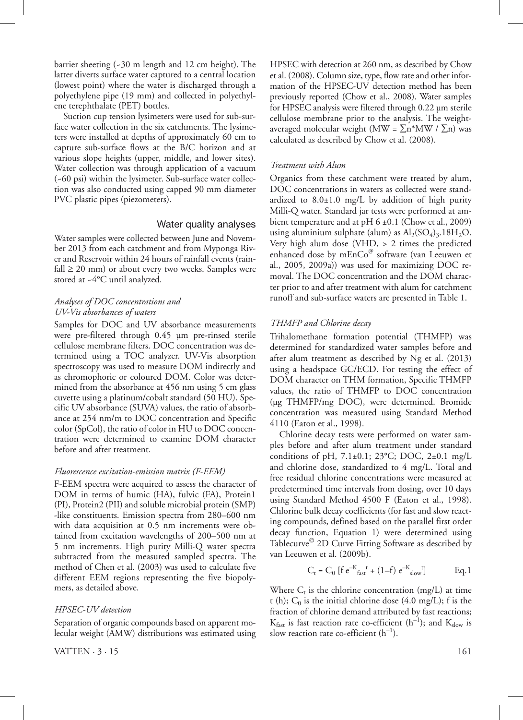barrier sheeting (~30 m length and 12 cm height). The latter diverts surface water captured to a central location (lowest point) where the water is discharged through a polyethylene pipe (19 mm) and collected in polyethylene terephthalate (PET) bottles.

Suction cup tension lysimeters were used for sub-surface water collection in the six catchments. The lysimeters were installed at depths of approximately 60 cm to capture sub-surface flows at the B/C horizon and at various slope heights (upper, middle, and lower sites). Water collection was through application of a vacuum (~60 psi) within the lysimeter. Sub-surface water collection was also conducted using capped 90 mm diameter PVC plastic pipes (piezometers).

#### Water quality analyses

Water samples were collected between June and November 2013 from each catchment and from Myponga River and Reservoir within 24 hours of rainfall events (rainfall  $\geq$  20 mm) or about every two weeks. Samples were stored at ~4°C until analyzed.

# *Analyses of DOC concentrations and UV-Vis absorbances of waters*

Samples for DOC and UV absorbance measurements were pre-filtered through 0.45 µm pre-rinsed sterile cellulose membrane filters. DOC concentration was determined using a TOC analyzer. UV-Vis absorption spectroscopy was used to measure DOM indirectly and as chromophoric or coloured DOM. Color was determined from the absorbance at 456 nm using 5 cm glass cuvette using a platinum/cobalt standard (50 HU). Specific UV absorbance (SUVA) values, the ratio of absorbance at 254 nm/m to DOC concentration and Specific color (SpCol), the ratio of color in HU to DOC concentration were determined to examine DOM character before and after treatment.

#### *Fluorescence excitation-emission matrix (F-EEM)*

F-EEM spectra were acquired to assess the character of DOM in terms of humic (HA), fulvic (FA), Protein1 (PI), Protein2 (PII) and soluble microbial protein (SMP) -like constituents. Emission spectra from 280–600 nm with data acquisition at 0.5 nm increments were obtained from excitation wavelengths of 200–500 nm at 5 nm increments. High purity Milli-Q water spectra subtracted from the measured sampled spectra. The method of Chen et al. (2003) was used to calculate five different EEM regions representing the five biopolymers, as detailed above.

#### *HPSEC-UV detection*

Separation of organic compounds based on apparent molecular weight (AMW) distributions was estimated using

 $VATTEN \cdot 3 \cdot 15$  161

HPSEC with detection at 260 nm, as described by Chow et al. (2008). Column size, type, flow rate and other information of the HPSEC-UV detection method has been previously reported (Chow et al., 2008). Water samples for HPSEC analysis were filtered through 0.22 µm sterile cellulose membrane prior to the analysis. The weightaveraged molecular weight (MW =  $\sum n^* M W / \sum n$ ) was calculated as described by Chow et al. (2008).

#### *Treatment with Alum*

Organics from these catchment were treated by alum, DOC concentrations in waters as collected were standardized to  $8.0 \pm 1.0$  mg/L by addition of high purity Milli-Q water. Standard jar tests were performed at ambient temperature and at pH 6 ±0.1 (Chow et al., 2009) using aluminium sulphate (alum) as  $Al<sub>2</sub>(SO<sub>4</sub>)<sub>3</sub>$ .18H<sub>2</sub>O. Very high alum dose (VHD, > 2 times the predicted enhanced dose by m $EnCo^@$  software (van Leeuwen et al., 2005, 2009a)) was used for maximizing DOC removal. The DOC concentration and the DOM character prior to and after treatment with alum for catchment runoff and sub-surface waters are presented in Table 1.

#### *THMFP and Chlorine decay*

Trihalomethane formation potential (THMFP) was determined for standardized water samples before and after alum treatment as described by Ng et al. (2013) using a headspace GC/ECD. For testing the effect of DOM character on THM formation, Specific THMFP values, the ratio of THMFP to DOC concentration (µg THMFP/mg DOC), were determined. Bromide concentration was measured using Standard Method 4110 (Eaton et al., 1998).

Chlorine decay tests were performed on water samples before and after alum treatment under standard conditions of pH,  $7.1\pm0.1$ ;  $23^{\circ}$ C; DOC,  $2\pm0.1$  mg/L and chlorine dose, standardized to 4 mg/L. Total and free residual chlorine concentrations were measured at predetermined time intervals from dosing, over 10 days using Standard Method 4500 F (Eaton et al., 1998). Chlorine bulk decay coefficients (for fast and slow reacting compounds, defined based on the parallel first order decay function, Equation 1) were determined using Tablecurve© 2D Curve Fitting Software as described by van Leeuwen et al. (2009b).

$$
C_t = C_0 [f e^{-K_{fast} t} + (1 - f) e^{-K_{slow} t}]
$$
 Eq.1

Where  $C_t$  is the chlorine concentration (mg/L) at time t (h);  $C_0$  is the initial chlorine dose (4.0 mg/L); f is the fraction of chlorine demand attributed by fast reactions;  $K_{\text{fast}}$  is fast reaction rate co-efficient (h<sup>-1</sup>); and  $K_{\text{slow}}$  is slow reaction rate co-efficient  $(h^{-1})$ .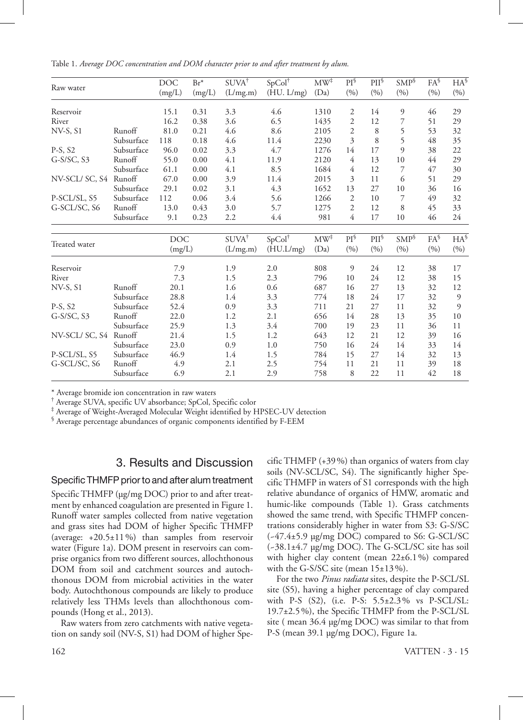Table 1. *Average DOC concentration and DOM character prior to and after treatment by alum.*

| Raw water       |            | <b>DOC</b>           | $Br^*$ | SUVA <sup>†</sup> | $SpCol^{\dagger}$ | $MW^{\ddagger}$ | $PI^{\S}$      | $PII^{\S}$ | $SMP^{\S}$ | $FA^{\S}$ | $HA^{\$}$ |
|-----------------|------------|----------------------|--------|-------------------|-------------------|-----------------|----------------|------------|------------|-----------|-----------|
|                 |            | (mg/L)               | (mg/L) | (L/mg.m)          | (HU. L/mg)        | (Da)            | (%)            | (9/0)      | (%)        | (%)       | (%)       |
| Reservoir       |            | 15.1                 | 0.31   | 3.3               | 4.6               | 1310            | $\mathfrak{2}$ | 14         | 9          | 46        | 29        |
| River           |            | 16.2                 | 0.38   | 3.6               | 6.5               | 1435            | $\overline{2}$ | 12         | 7          | 51        | 29        |
| <b>NV-S, S1</b> | Runoff     | 81.0                 | 0.21   | 4.6               | 8.6               | 2105            | $\overline{2}$ | 8          | 5          | 53        | 32        |
|                 | Subsurface | 118                  | 0.18   | 4.6               | 11.4              | 2230            | 3              | 8          | 5          | 48        | 35        |
| $P-S, S2$       | Subsurface | 96.0                 | 0.02   | 3.3               | 4.7               | 1276            | 14             | 17         | 9          | 38        | 22        |
| $G-S/SC$ , S3   | Runoff     | 55.0                 | 0.00   | 4.1               | 11.9              | 2120            | 4              | 13         | 10         | 44        | 29        |
|                 | Subsurface | 61.1                 | 0.00   | 4.1               | 8.5               | 1684            | 4              | 12         | 7          | 47        | 30        |
| NV-SCL/SC, S4   | Runoff     | 67.0                 | 0.00   | 3.9               | 11.4              | 2015            | 3              | 11         | 6          | 51        | 29        |
|                 | Subsurface | 29.1                 | 0.02   | 3.1               | 4.3               | 1652            | 13             | 27         | 10         | 36        | 16        |
| P-SCL/SL, S5    | Subsurface | 112                  | 0.06   | 3.4               | 5.6               | 1266            | $\overline{2}$ | 10         | 7          | 49        | 32        |
| G-SCL/SC, S6    | Runoff     | 13.0                 | 0.43   | 3.0               | 5.7               | 1275            | $\mathfrak{2}$ | 12         | 8          | 45        | 33        |
|                 | Subsurface | 9.1                  | 0.23   | 2.2               | 4.4               | 981             | 4              | 17         | 10         | 46        | 24        |
|                 |            | <b>DOC</b><br>(mg/L) |        | SUVA <sup>†</sup> | $SpCol^{\dagger}$ | $MW^{\ddagger}$ | $PI^{\S}$      | $PII^{\S}$ | $SMP^{\S}$ | $FA^{\S}$ | $HA^{\S}$ |
| Treated water   |            |                      |        | (L/mg.m)          | (HU.L/mg)         | (Da)            | (9/0)          | (9/0)      | (%)        | (%)       | (9/0)     |
| Reservoir       |            | 7.9                  |        | 1.9               | 2.0               | 808             | 9              | 24         | 12         | 38        | 17        |
| River           |            | 7.3                  |        | 1.5               | 2.3               | 796             | 10             | 24         | 12         | 38        | 15        |
| $NV-S, S1$      | Runoff     | 20.1                 |        | 1.6               | 0.6               | 687             | 16             | 27         | 13         | 32        | 12        |
|                 | Subsurface | 28.8                 |        | 1.4               | 3.3               | 774             | 18             | 24         | 17         | 32        | 9         |
| $P-S, S2$       | Subsurface | 52.4                 |        | 0.9               | 3.3               | 711             | 21             | 27         | 11         | 32        | 9         |
| $G-S/SC$ , S3   | Runoff     | 22.0                 |        | 1.2               | 2.1               | 656             | 14             | 28         | 13         | 35        | 10        |
|                 | Subsurface | 25.9                 |        | 1.3               | 3.4               | 700             | 19             | 23         | 11         | 36        | 11        |
| NV-SCL/SC, S4   | Runoff     | 21.4                 |        | 1.5               | 1.2               | 643             | 12             | 21         | 12         | 39        | 16        |
|                 | Subsurface | 23.0                 |        | 0.9               | 1.0               | 750             | 16             | 24         | 14         | 33        | 14        |
| P-SCL/SL, S5    | Subsurface | 46.9                 |        | 1.4               | 1.5               | 784             | 15             | 27         | 14         | 32        | 13        |
| G-SCL/SC, S6    | Runoff     | 4.9                  |        | 2.1               | 2.5               | 754             | 11             | 21         | 11         | 39        | 18        |
|                 | Subsurface | 6.9                  |        | 2.1               | 2.9               | 758             | 8              | 22         | 11         | 42        | 18        |

\* Average bromide ion concentration in raw waters

† Average SUVA, specific UV absorbance; SpCol, Specific color

‡ Average of Weight-Averaged Molecular Weight identified by HPSEC-UV detection

§ Average percentage abundances of organic components identified by F-EEM

# 3. Results and Discussion

## Specific THMFP prior to and after alum treatment

Specific THMFP (µg/mg DOC) prior to and after treatment by enhanced coagulation are presented in Figure 1. Runoff water samples collected from native vegetation and grass sites had DOM of higher Specific THMFP (average: +20.5±11%) than samples from reservoir water (Figure 1a). DOM present in reservoirs can comprise organics from two different sources, allochthonous DOM from soil and catchment sources and autochthonous DOM from microbial activities in the water body. Autochthonous compounds are likely to produce relatively less THMs levels than allochthonous compounds (Hong et al., 2013).

Raw waters from zero catchments with native vegetation on sandy soil (NV-S, S1) had DOM of higher Specific THMFP (+39%) than organics of waters from clay soils (NV-SCL/SC, S4). The significantly higher Specific THMFP in waters of S1 corresponds with the high relative abundance of organics of HMW, aromatic and humic-like compounds (Table 1). Grass catchments showed the same trend, with Specific THMFP concentrations considerably higher in water from S3: G-S/SC (~47.4±5.9 µg/mg DOC) compared to S6: G-SCL/SC (~38.1±4.7 µg/mg DOC). The G-SCL/SC site has soil with higher clay content (mean  $22\pm6.1\%$ ) compared with the G-S/SC site (mean  $15\pm13\%$ ).

For the two *Pinus radiata* sites, despite the P-SCL/SL site (S5), having a higher percentage of clay compared with P-S (S2), (i.e. P-S: 5.5±2.3% vs P-SCL/SL: 19.7±2.5%), the Specific THMFP from the P-SCL/SL site ( mean 36.4 µg/mg DOC) was similar to that from P-S (mean 39.1 µg/mg DOC), Figure 1a.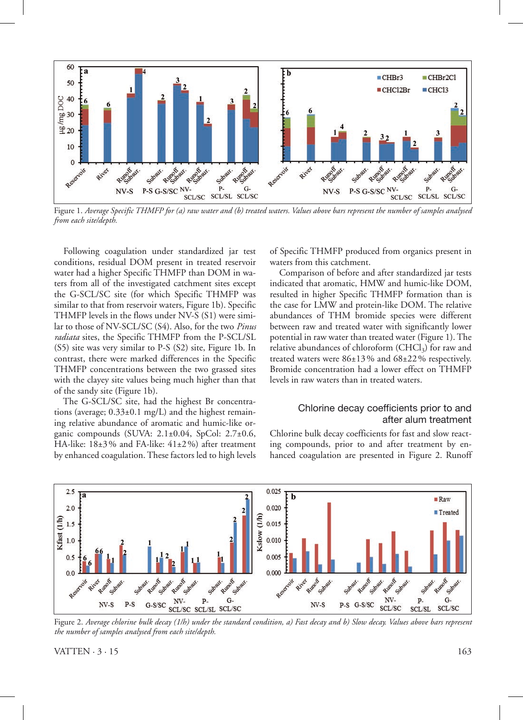

Figure 1. *Average Specific THMFP for (a) raw water and (b) treated waters. Values above bars represent the number of samples analysed from each site/depth.*

Following coagulation under standardized jar test conditions, residual DOM present in treated reservoir water had a higher Specific THMFP than DOM in waters from all of the investigated catchment sites except the G-SCL/SC site (for which Specific THMFP was similar to that from reservoir waters, Figure 1b). Specific THMFP levels in the flows under NV-S (S1) were similar to those of NV-SCL/SC (S4). Also, for the two *Pinus radiata* sites, the Specific THMFP from the P-SCL/SL (S5) site was very similar to P-S (S2) site, Figure 1b. In contrast, there were marked differences in the Specific THMFP concentrations between the two grassed sites with the clayey site values being much higher than that of the sandy site (Figure 1b).

The G-SCL/SC site, had the highest Br concentrations (average;  $0.33\pm0.1$  mg/L) and the highest remaining relative abundance of aromatic and humic-like organic compounds (SUVA: 2.1±0.04, SpCol: 2.7±0.6, HA-like: 18±3% and FA-like: 41±2%) after treatment by enhanced coagulation. These factors led to high levels

of Specific THMFP produced from organics present in waters from this catchment.

Comparison of before and after standardized jar tests indicated that aromatic, HMW and humic-like DOM, resulted in higher Specific THMFP formation than is the case for LMW and protein-like DOM. The relative abundances of THM bromide species were different between raw and treated water with significantly lower potential in raw water than treated water (Figure 1). The relative abundances of chloroform  $(CHCl<sub>3</sub>)$  for raw and treated waters were 86±13% and 68±22% respectively. Bromide concentration had a lower effect on THMFP levels in raw waters than in treated waters.

# Chlorine decay coefficients prior to and after alum treatment

Chlorine bulk decay coefficients for fast and slow reacting compounds, prior to and after treatment by enhanced coagulation are presented in Figure 2. Runoff



Figure 2. *Average chlorine bulk decay (1/h) under the standard condition, a) Fast decay and b) Slow decay. Values above bars represent the number of samples analysed from each site/depth.*

VATTEN  $\cdot$  3  $\cdot$  15 163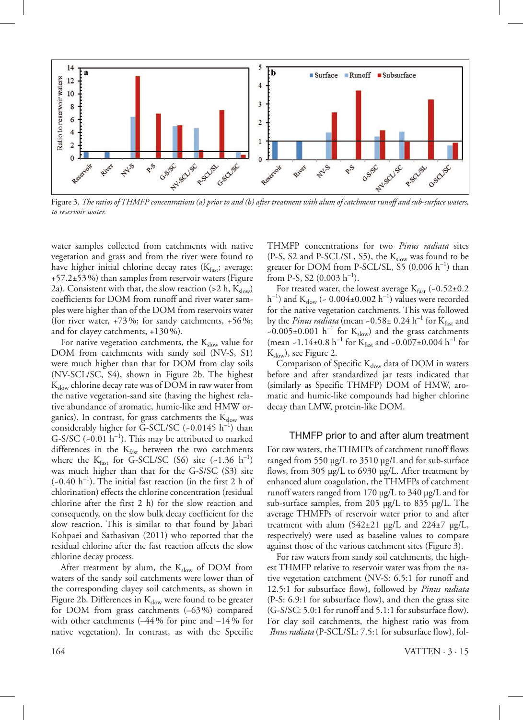

Figure 3. *The ratios of THMFP concentrations (a) prior to and (b) after treatment with alum of catchment runoff and sub-surface waters, to reservoir water.*

water samples collected from catchments with native vegetation and grass and from the river were found to have higher initial chlorine decay rates  $(K_{\text{fast}}; \text{average})$ : +57.2±53%) than samples from reservoir waters (Figure 2a). Consistent with that, the slow reaction (>2 h,  $K_{slow}$ ) coefficients for DOM from runoff and river water samples were higher than of the DOM from reservoirs water (for river water,  $+73\%$ ; for sandy catchments,  $+56\%$ ; and for clayey catchments, +130%).

For native vegetation catchments, the  $K_{slow}$  value for DOM from catchments with sandy soil (NV-S, S1) were much higher than that for DOM from clay soils (NV-SCL/SC, S4), shown in Figure 2b. The highest  $K_{slow}$  chlorine decay rate was of DOM in raw water from the native vegetation-sand site (having the highest relative abundance of aromatic, humic-like and HMW organics). In contrast, for grass catchments the  $K_{slow}$  was considerably higher for G-SCL/SC  $(-0.0145 \; h^{-1})$  than G-S/SC  $(-0.01 \text{ h}^{-1})$ . This may be attributed to marked differences in the  $K_{\text{fast}}$  between the two catchments where the  $K_{\text{fast}}$  for G-SCL/SC (S6) site (~1.36 h<sup>-1</sup>) was much higher than that for the G-S/SC (S3) site  $(-0.40 \text{ h}^{-1})$ . The initial fast reaction (in the first 2 h of chlorination) effects the chlorine concentration (residual chlorine after the first 2 h) for the slow reaction and consequently, on the slow bulk decay coefficient for the slow reaction. This is similar to that found by Jabari Kohpaei and Sathasivan (2011) who reported that the residual chlorine after the fast reaction affects the slow chlorine decay process.

After treatment by alum, the  $K_{slow}$  of DOM from waters of the sandy soil catchments were lower than of the corresponding clayey soil catchments, as shown in Figure 2b. Differences in  $K_{slow}$  were found to be greater for DOM from grass catchments (–63%) compared with other catchments ( $-44\%$  for pine and  $-14\%$  for native vegetation). In contrast, as with the Specific

THMFP concentrations for two *Pinus radiata* sites (P-S, S2 and P-SCL/SL, S5), the  $K_{slow}$  was found to be greater for DOM from P-SCL/SL, S5  $(0.006 \; h^{-1})$  than from P-S, S2  $(0.003 \text{ h}^{-1})$ .

For treated water, the lowest average  $K_{\text{fast}}$  (-0.52±0.2  $(h^{-1})$  and  $K_{slow}$  (~ 0.004±0.002  $h^{-1}$ ) values were recorded for the native vegetation catchments. This was followed by the *Pinus radiata* (mean ~0.58± 0.24 h<sup>-1</sup> for K<sub>fast</sub> and ~0.005±0.001  $h^{-1}$  for  $K_{slow}$ ) and the grass catchments (mean ~1.14±0.8 h<sup>-1</sup> for K<sub>fast</sub> and ~0.007±0.004 h<sup>-1</sup> for  $K_{slow}$ , see Figure 2.

Comparison of Specific  $K_{slow}$  data of DOM in waters before and after standardized jar tests indicated that (similarly as Specific THMFP) DOM of HMW, aromatic and humic-like compounds had higher chlorine decay than LMW, protein-like DOM.

### THMFP prior to and after alum treatment

For raw waters, the THMFPs of catchment runoff flows ranged from 550 µg/L to 3510 µg/L and for sub-surface flows, from 305 µg/L to 6930 µg/L. After treatment by enhanced alum coagulation, the THMFPs of catchment runoff waters ranged from 170 µg/L to 340 µg/L and for sub-surface samples, from 205 µg/L to 835 µg/L. The average THMFPs of reservoir water prior to and after treatment with alum  $(542±21 \text{ µg/L}$  and  $224±7 \text{ µg/L}$ , respectively) were used as baseline values to compare against those of the various catchment sites (Figure 3).

For raw waters from sandy soil catchments, the highest THMFP relative to reservoir water was from the native vegetation catchment (NV-S: 6.5:1 for runoff and 12.5:1 for subsurface flow), followed by *Pinus radiata*  (P-S: 6.9:1 for subsurface flow), and then the grass site (G-S/SC: 5.0:1 for runoff and 5.1:1 for subsurface flow). For clay soil catchments, the highest ratio was from *Pinus radiata* (P-SCL/SL: 7.5:1 for subsurface flow), fol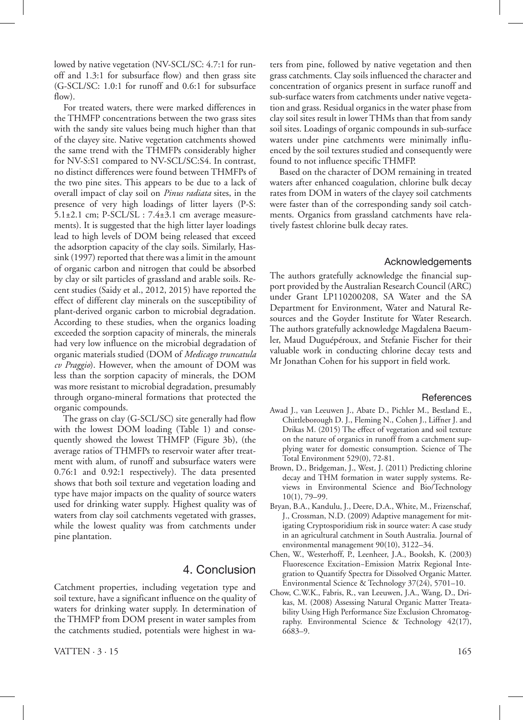lowed by native vegetation (NV-SCL/SC: 4.7:1 for runoff and 1.3:1 for subsurface flow) and then grass site (G-SCL/SC: 1.0:1 for runoff and 0.6:1 for subsurface  $f_{\text{low}}$ ).

For treated waters, there were marked differences in the THMFP concentrations between the two grass sites with the sandy site values being much higher than that of the clayey site. Native vegetation catchments showed the same trend with the THMFPs considerably higher for NV-S:S1 compared to NV-SCL/SC:S4. In contrast, no distinct differences were found between THMFPs of the two pine sites. This appears to be due to a lack of overall impact of clay soil on *Pinus radiata* sites, in the presence of very high loadings of litter layers (P-S:  $5.1\pm2.1$  cm;  $P-SCL/SL$  :  $7.4\pm3.1$  cm average measurements). It is suggested that the high litter layer loadings lead to high levels of DOM being released that exceed the adsorption capacity of the clay soils. Similarly, Hassink (1997) reported that there was a limit in the amount of organic carbon and nitrogen that could be absorbed by clay or silt particles of grassland and arable soils. Recent studies (Saidy et al., 2012, 2015) have reported the effect of different clay minerals on the susceptibility of plant-derived organic carbon to microbial degradation. According to these studies, when the organics loading exceeded the sorption capacity of minerals, the minerals had very low influence on the microbial degradation of organic materials studied (DOM of *Medicago truncatula cv Praggio*). However, when the amount of DOM was less than the sorption capacity of minerals, the DOM was more resistant to microbial degradation, presumably through organo-mineral formations that protected the organic compounds.

The grass on clay (G-SCL/SC) site generally had flow with the lowest DOM loading (Table 1) and consequently showed the lowest THMFP (Figure 3b), (the average ratios of THMFPs to reservoir water after treatment with alum, of runoff and subsurface waters were 0.76:1 and 0.92:1 respectively). The data presented shows that both soil texture and vegetation loading and type have major impacts on the quality of source waters used for drinking water supply. Highest quality was of waters from clay soil catchments vegetated with grasses, while the lowest quality was from catchments under pine plantation.

# 4. Conclusion

Catchment properties, including vegetation type and soil texture, have a significant influence on the quality of waters for drinking water supply. In determination of the THMFP from DOM present in water samples from the catchments studied, potentials were highest in waters from pine, followed by native vegetation and then grass catchments. Clay soils influenced the character and concentration of organics present in surface runoff and sub-surface waters from catchments under native vegetation and grass. Residual organics in the water phase from clay soil sites result in lower THMs than that from sandy soil sites. Loadings of organic compounds in sub-surface waters under pine catchments were minimally influenced by the soil textures studied and consequently were found to not influence specific THMFP.

Based on the character of DOM remaining in treated waters after enhanced coagulation, chlorine bulk decay rates from DOM in waters of the clayey soil catchments were faster than of the corresponding sandy soil catchments. Organics from grassland catchments have relatively fastest chlorine bulk decay rates.

# Acknowledgements

The authors gratefully acknowledge the financial support provided by the Australian Research Council (ARC) under Grant LP110200208, SA Water and the SA Department for Environment, Water and Natural Resources and the Goyder Institute for Water Research. The authors gratefully acknowledge Magdalena Baeumler, Maud Duguépéroux, and Stefanie Fischer for their valuable work in conducting chlorine decay tests and Mr Jonathan Cohen for his support in field work.

#### **References**

- Awad J., van Leeuwen J., Abate D., Pichler M., Bestland E., Chittleborough D. J., Fleming N., Cohen J., Liffner J. and Drikas M. (2015) The effect of vegetation and soil texture on the nature of organics in runoff from a catchment supplying water for domestic consumption. Science of The Total Environment 529(0), 72-81.
- Brown, D., Bridgeman, J., West, J. (2011) Predicting chlorine decay and THM formation in water supply systems. Reviews in Environmental Science and Bio/Technology 10(1), 79–99.
- Bryan, B.A., Kandulu, J., Deere, D.A., White, M., Frizenschaf, J., Crossman, N.D. (2009) Adaptive management for mitigating Cryptosporidium risk in source water: A case study in an agricultural catchment in South Australia. Journal of environmental management 90(10), 3122–34.
- Chen, W., Westerhoff, P., Leenheer, J.A., Booksh, K. (2003) Fluorescence Excitation−Emission Matrix Regional Integration to Quantify Spectra for Dissolved Organic Matter. Environmental Science & Technology 37(24), 5701–10.
- Chow, C.W.K., Fabris, R., van Leeuwen, J.A., Wang, D., Drikas, M. (2008) Assessing Natural Organic Matter Treatability Using High Performance Size Exclusion Chromatography. Environmental Science & Technology 42(17), 6683–9.